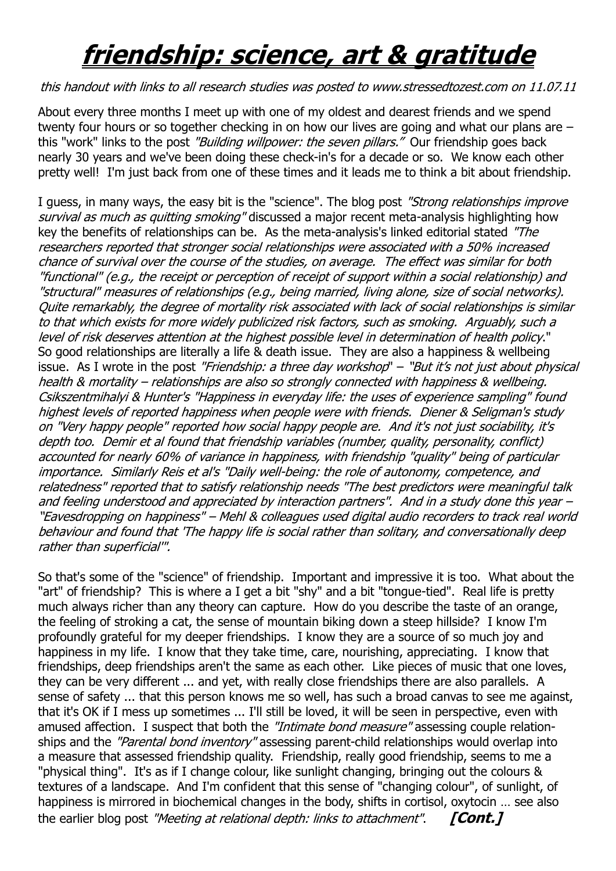## **friendship: science, art & gratitude**

## this handout with links to all research studies was posted to www.stressedtozest.com on 11.07.11

About every three months I meet up with one of my oldest and dearest friends and we spend twenty four hours or so together checking in on how our lives are going and what our plans are – this "work" links to the post "Building willpower: the seven pillars." Our friendship goes back nearly 30 years and we've been doing these check-in's for a decade or so. We know each other pretty well! I'm just back from one of these times and it leads me to think a bit about friendship.

I guess, in many ways, the easy bit is the "science". The blog post "Strong relationships improve survival as much as quitting smoking" discussed a major recent meta-analysis highlighting how key the benefits of relationships can be. As the meta-analysis's linked editorial stated "The researchers reported that stronger social relationships were associated with a 50% increased chance of survival over the course of the studies, on average. The effect was similar for both "functional" (e.g., the receipt or perception of receipt of support within a social relationship) and "structural" measures of relationships (e.g., being married, living alone, size of social networks). Quite remarkably, the degree of mortality risk associated with lack of social relationships is similar to that which exists for more widely publicized risk factors, such as smoking. Arguably, such a level of risk deserves attention at the highest possible level in determination of health policy." So good relationships are literally a life & death issue. They are also a happiness & wellbeing issue. As I wrote in the post "Friendship: a three day workshop" – "But it's not just about physical health & mortality – relationships are also so strongly connected with happiness & wellbeing. Csikszentmihalyi & Hunter's "Happiness in everyday life: the uses of experience sampling" found highest levels of reported happiness when people were with friends. Diener & Seligman's study on "Very happy people" reported how social happy people are. And it's not just sociability, it's depth too. Demir et al found that friendship variables (number, quality, personality, conflict) accounted for nearly 60% of variance in happiness, with friendship "quality" being of particular importance. Similarly Reis et al's "Daily well-being: the role of autonomy, competence, and relatedness" reported that to satisfy relationship needs "The best predictors were meaningful talk and feeling understood and appreciated by interaction partners". And in a study done this year – "Eavesdropping on happiness" – Mehl & colleagues used digital audio recorders to track real world behaviour and found that 'The happy life is social rather than solitary, and conversationally deep rather than superficial'".

So that's some of the "science" of friendship. Important and impressive it is too. What about the "art" of friendship? This is where a I get a bit "shy" and a bit "tongue-tied". Real life is pretty much always richer than any theory can capture. How do you describe the taste of an orange, the feeling of stroking a cat, the sense of mountain biking down a steep hillside? I know I'm profoundly grateful for my deeper friendships. I know they are a source of so much joy and happiness in my life. I know that they take time, care, nourishing, appreciating. I know that friendships, deep friendships aren't the same as each other. Like pieces of music that one loves, they can be very different ... and yet, with really close friendships there are also parallels. A sense of safety ... that this person knows me so well, has such a broad canvas to see me against, that it's OK if I mess up sometimes ... I'll still be loved, it will be seen in perspective, even with amused affection. I suspect that both the *"Intimate bond measure"* assessing couple relationships and the "Parental bond inventory" assessing parent-child relationships would overlap into a measure that assessed friendship quality. Friendship, really good friendship, seems to me a "physical thing". It's as if I change colour, like sunlight changing, bringing out the colours & textures of a landscape. And I'm confident that this sense of "changing colour", of sunlight, of happiness is mirrored in biochemical changes in the body, shifts in cortisol, oxytocin … see also the earlier blog post *"Meeting at relational depth: links to attachment"*. **[Cont.]**